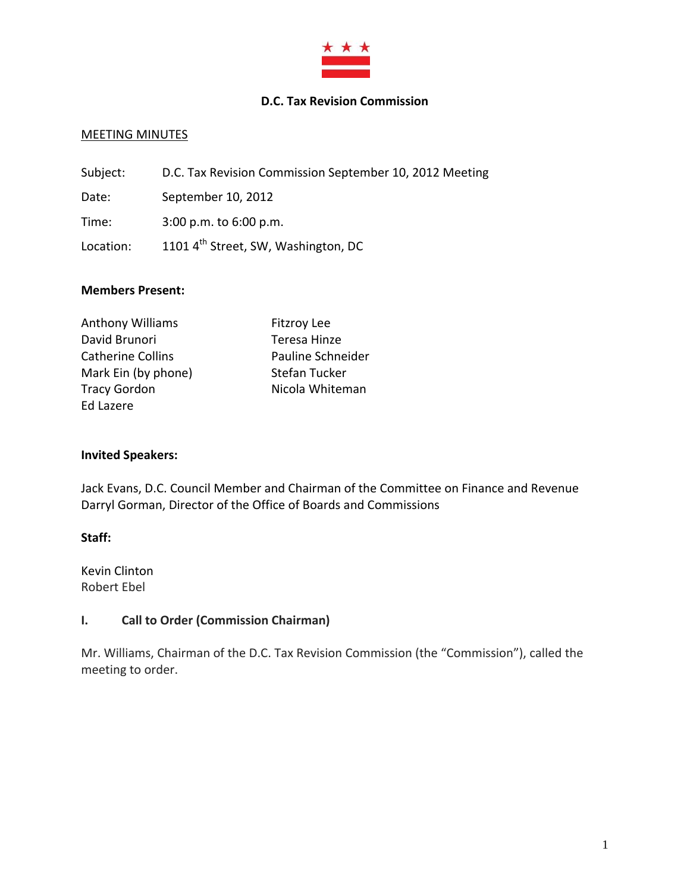

## **D.C. Tax Revision Commission**

### **MEETING MINUTES**

| Subject:  | D.C. Tax Revision Commission September 10, 2012 Meeting |
|-----------|---------------------------------------------------------|
| Date:     | September 10, 2012                                      |
| Time:     | $3:00$ p.m. to $6:00$ p.m.                              |
| Location: | 1101 4 <sup>th</sup> Street, SW, Washington, DC         |

### **Members Present:**

| <b>Anthony Williams</b>  | <b>Fitzroy Lee</b> |
|--------------------------|--------------------|
| David Brunori            | Teresa Hinze       |
| <b>Catherine Collins</b> | Pauline Schneider  |
| Mark Ein (by phone)      | Stefan Tucker      |
| <b>Tracy Gordon</b>      | Nicola Whiteman    |
| Ed Lazere                |                    |

### **Invited Speakers:**

Jack Evans, D.C. Council Member and Chairman of the Committee on Finance and Revenue Darryl Gorman, Director of the Office of Boards and Commissions

### **Staff:**

Kevin Clinton Robert Ebel

## **I. Call to Order (Commission Chairman)**

Mr. Williams, Chairman of the D.C. Tax Revision Commission (the "Commission"), called the meeting to order.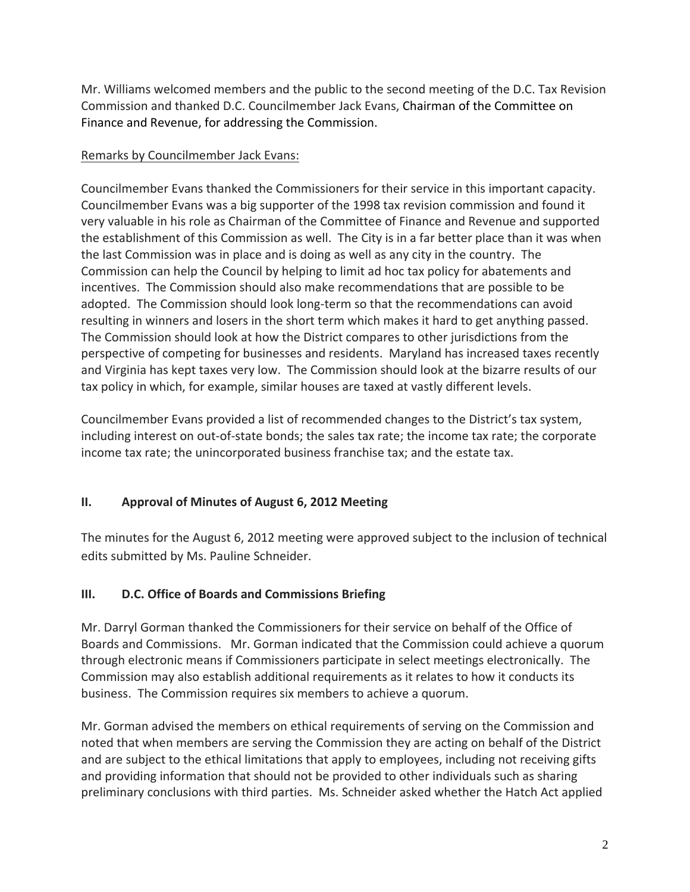Mr. Williams welcomed members and the public to the second meeting of the D.C. Tax Revision Commission and thanked D.C. Councilmember Jack Evans, Chairman of the Committee on Finance and Revenue, for addressing the Commission.

## Remarks by Councilmember Jack Evans:

Councilmember Evans thanked the Commissioners for their service in this important capacity. Councilmember Evans was a big supporter of the 1998 tax revision commission and found it very valuable in his role as Chairman of the Committee of Finance and Revenue and supported the establishment of this Commission as well. The City is in a far better place than it was when the last Commission was in place and is doing as well as any city in the country. The Commission can help the Council by helping to limit ad hoc tax policy for abatements and incentives. The Commission should also make recommendations that are possible to be adopted. The Commission should look long‐term so that the recommendations can avoid resulting in winners and losers in the short term which makes it hard to get anything passed. The Commission should look at how the District compares to other jurisdictions from the perspective of competing for businesses and residents. Maryland has increased taxes recently and Virginia has kept taxes very low. The Commission should look at the bizarre results of our tax policy in which, for example, similar houses are taxed at vastly different levels.

Councilmember Evans provided a list of recommended changes to the District's tax system, including interest on out‐of‐state bonds; the sales tax rate; the income tax rate; the corporate income tax rate; the unincorporated business franchise tax; and the estate tax.

# **II. Approval of Minutes of August 6, 2012 Meeting**

The minutes for the August 6, 2012 meeting were approved subject to the inclusion of technical edits submitted by Ms. Pauline Schneider.

# **III. D.C. Office of Boards and Commissions Briefing**

Mr. Darryl Gorman thanked the Commissioners for their service on behalf of the Office of Boards and Commissions. Mr. Gorman indicated that the Commission could achieve a quorum through electronic means if Commissioners participate in select meetings electronically. The Commission may also establish additional requirements as it relates to how it conducts its business. The Commission requires six members to achieve a quorum.

Mr. Gorman advised the members on ethical requirements of serving on the Commission and noted that when members are serving the Commission they are acting on behalf of the District and are subject to the ethical limitations that apply to employees, including not receiving gifts and providing information that should not be provided to other individuals such as sharing preliminary conclusions with third parties. Ms. Schneider asked whether the Hatch Act applied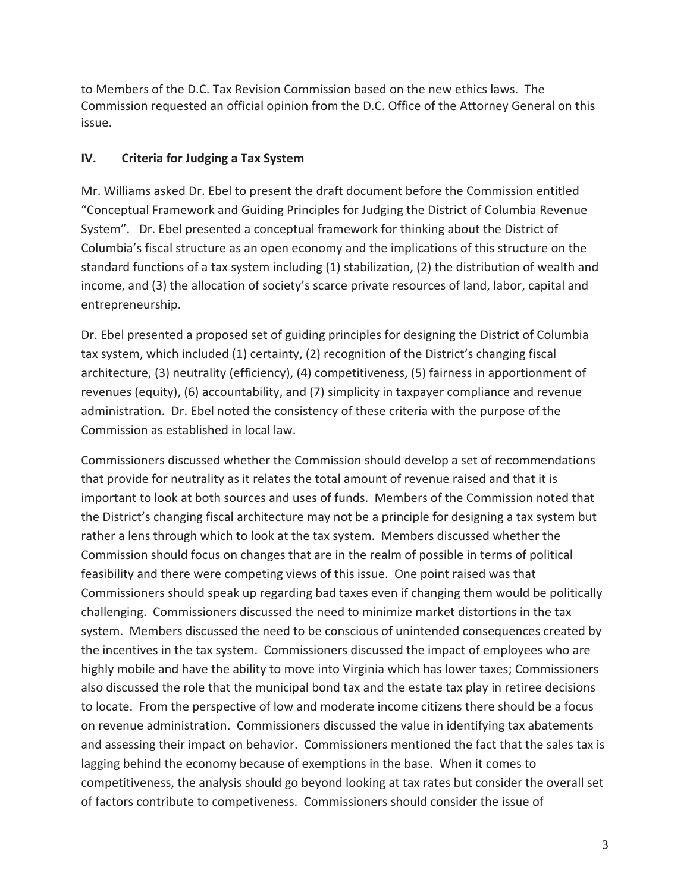to Members of the D.C. Tax Revision Commission based on the new ethics laws. The Commission requested an official opinion from the D.C. Office of the Attorney General on this issue.

## **IV. Criteria for Judging a Tax System**

Mr. Williams asked Dr. Ebel to present the draft document before the Commission entitled "Conceptual Framework and Guiding Principles for Judging the District of Columbia Revenue System". Dr. Ebel presented a conceptual framework for thinking about the District of Columbia's fiscal structure as an open economy and the implications of this structure on the standard functions of a tax system including (1) stabilization, (2) the distribution of wealth and income, and (3) the allocation of society's scarce private resources of land, labor, capital and entrepreneurship.

Dr. Ebel presented a proposed set of guiding principles for designing the District of Columbia tax system, which included (1) certainty, (2) recognition of the District's changing fiscal architecture, (3) neutrality (efficiency), (4) competitiveness, (5) fairness in apportionment of revenues (equity), (6) accountability, and (7) simplicity in taxpayer compliance and revenue administration. Dr. Ebel noted the consistency of these criteria with the purpose of the Commission as established in local law.

Commissioners discussed whether the Commission should develop a set of recommendations that provide for neutrality as it relates the total amount of revenue raised and that it is important to look at both sources and uses of funds. Members of the Commission noted that the District's changing fiscal architecture may not be a principle for designing a tax system but rather a lens through which to look at the tax system. Members discussed whether the Commission should focus on changes that are in the realm of possible in terms of political feasibility and there were competing views of this issue. One point raised was that Commissioners should speak up regarding bad taxes even if changing them would be politically challenging. Commissioners discussed the need to minimize market distortions in the tax system. Members discussed the need to be conscious of unintended consequences created by the incentives in the tax system. Commissioners discussed the impact of employees who are highly mobile and have the ability to move into Virginia which has lower taxes; Commissioners also discussed the role that the municipal bond tax and the estate tax play in retiree decisions to locate. From the perspective of low and moderate income citizens there should be a focus on revenue administration. Commissioners discussed the value in identifying tax abatements and assessing their impact on behavior. Commissioners mentioned the fact that the sales tax is lagging behind the economy because of exemptions in the base. When it comes to competitiveness, the analysis should go beyond looking at tax rates but consider the overall set of factors contribute to competiveness. Commissioners should consider the issue of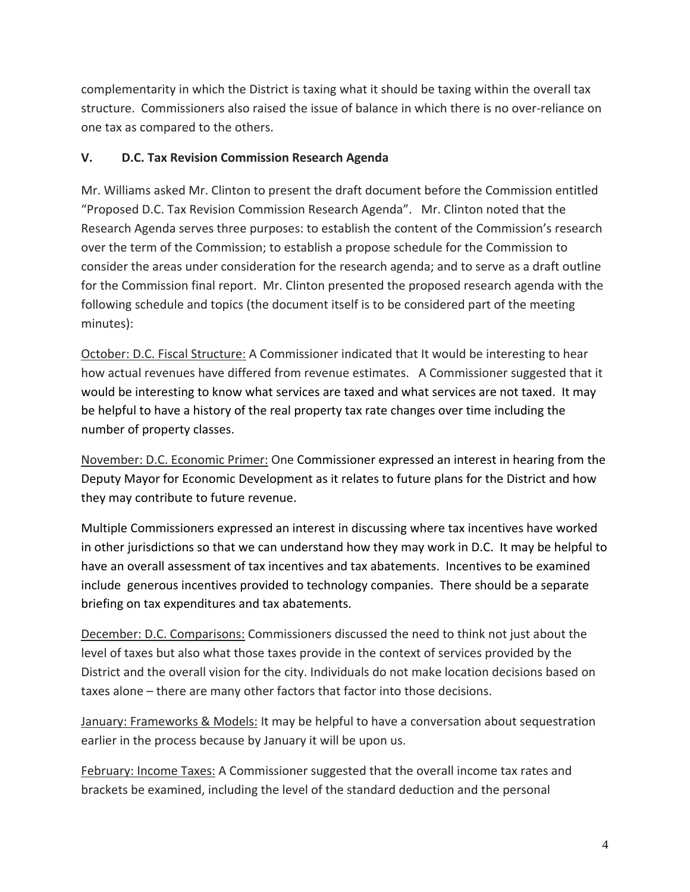complementarity in which the District is taxing what it should be taxing within the overall tax structure. Commissioners also raised the issue of balance in which there is no over-reliance on one tax as compared to the others.

# **V. D.C. Tax Revision Commission Research Agenda**

Mr. Williams asked Mr. Clinton to present the draft document before the Commission entitled "Proposed D.C. Tax Revision Commission Research Agenda". Mr. Clinton noted that the Research Agenda serves three purposes: to establish the content of the Commission's research over the term of the Commission; to establish a propose schedule for the Commission to consider the areas under consideration for the research agenda; and to serve as a draft outline for the Commission final report. Mr. Clinton presented the proposed research agenda with the following schedule and topics (the document itself is to be considered part of the meeting minutes):

October: D.C. Fiscal Structure: A Commissioner indicated that It would be interesting to hear how actual revenues have differed from revenue estimates. A Commissioner suggested that it would be interesting to know what services are taxed and what services are not taxed. It may be helpful to have a history of the real property tax rate changes over time including the number of property classes.

November: D.C. Economic Primer: One Commissioner expressed an interest in hearing from the Deputy Mayor for Economic Development as it relates to future plans for the District and how they may contribute to future revenue.

Multiple Commissioners expressed an interest in discussing where tax incentives have worked in other jurisdictions so that we can understand how they may work in D.C. It may be helpful to have an overall assessment of tax incentives and tax abatements. Incentives to be examined include generous incentives provided to technology companies. There should be a separate briefing on tax expenditures and tax abatements.

December: D.C. Comparisons: Commissioners discussed the need to think not just about the level of taxes but also what those taxes provide in the context of services provided by the District and the overall vision for the city. Individuals do not make location decisions based on taxes alone – there are many other factors that factor into those decisions.

January: Frameworks & Models: It may be helpful to have a conversation about sequestration earlier in the process because by January it will be upon us.

February: Income Taxes: A Commissioner suggested that the overall income tax rates and brackets be examined, including the level of the standard deduction and the personal